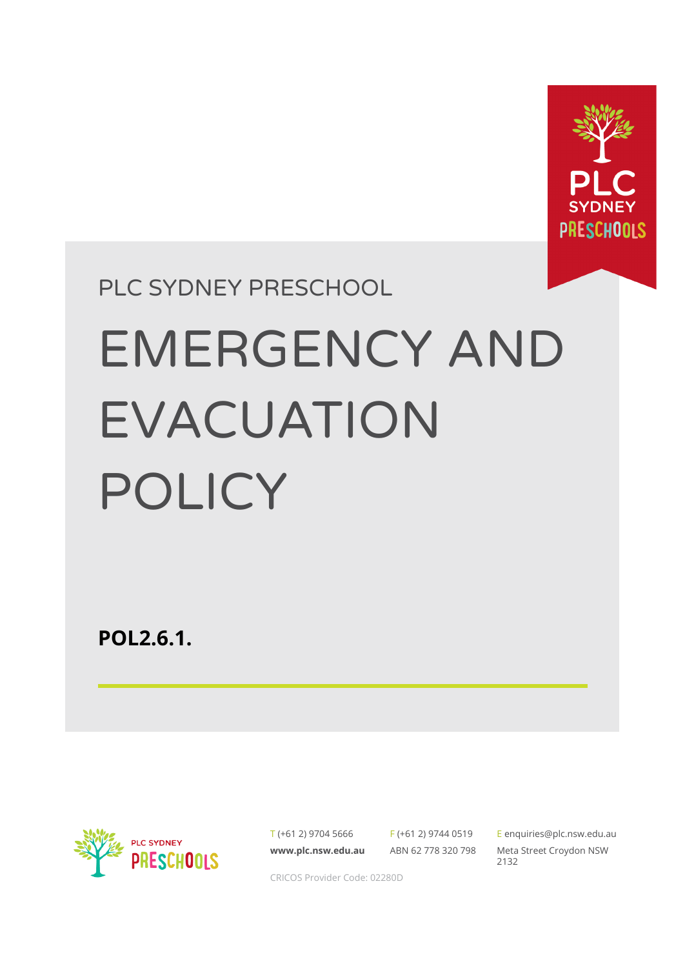

# PLC SYDNEY PRESCHOOL EMERGENCY AND EVACUATION POLICY

**POL2.6.1.**



T (+61 2) 9704 5666 **[www.plc.nsw.edu.au](http://www.plc.nsw.edu.au)**

F (+61 2) 9744 0519 ABN 62 778 320 798

E [enquiries@plc.nsw.edu.au](mailto:enquiries@plc.nsw.edu.au) Meta Street Croydon NSW 2132

CRICOS Provider Code: 02280D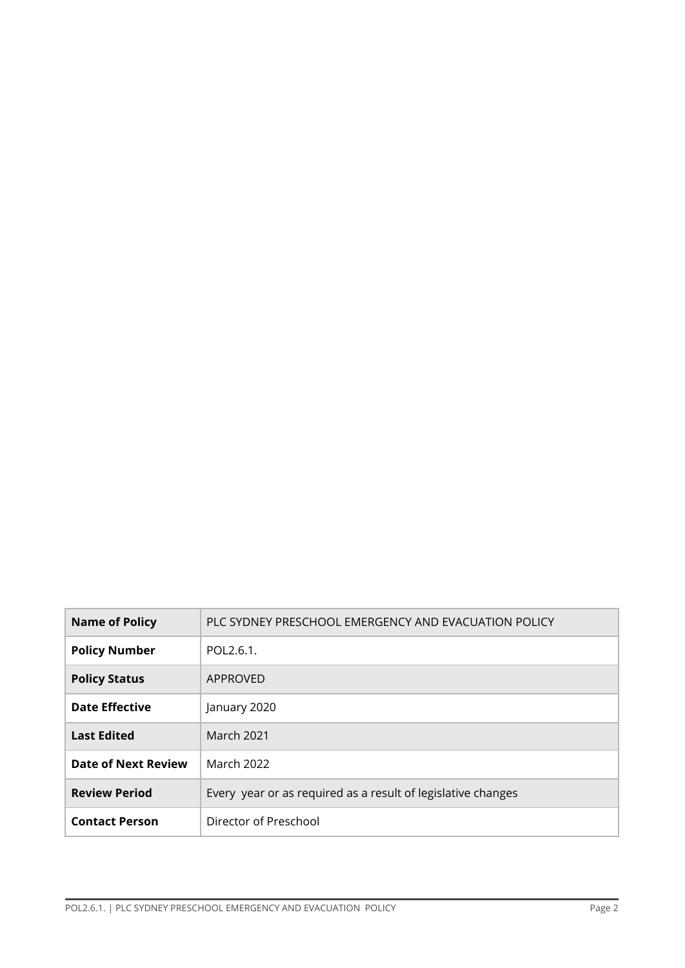| <b>Name of Policy</b> | PLC SYDNEY PRESCHOOL EMERGENCY AND EVACUATION POLICY         |
|-----------------------|--------------------------------------------------------------|
| <b>Policy Number</b>  | POL2.6.1.                                                    |
| <b>Policy Status</b>  | APPROVED                                                     |
| <b>Date Effective</b> | January 2020                                                 |
| <b>Last Edited</b>    | March 2021                                                   |
| Date of Next Review   | <b>March 2022</b>                                            |
| <b>Review Period</b>  | Every year or as required as a result of legislative changes |
| <b>Contact Person</b> | Director of Preschool                                        |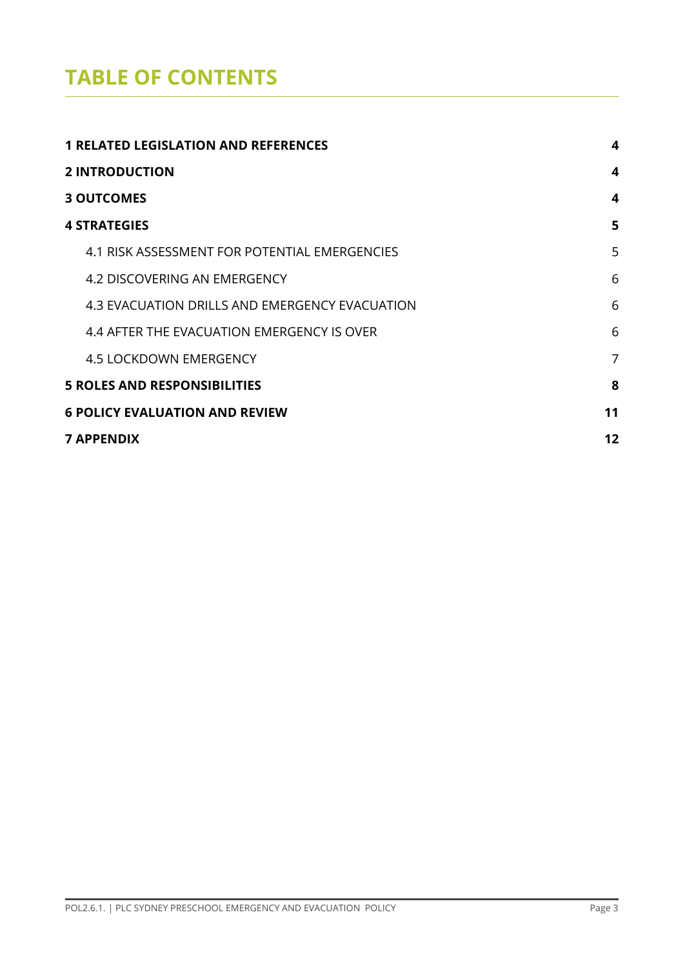## **TABLE OF CONTENTS**

| <b>1 RELATED LEGISLATION AND REFERENCES</b>    |                |  |
|------------------------------------------------|----------------|--|
| <b>2 INTRODUCTION</b>                          | 4              |  |
| <b>3 OUTCOMES</b>                              | 4              |  |
| <b>4 STRATEGIES</b>                            | 5              |  |
| 4.1 RISK ASSESSMENT FOR POTENTIAL EMERGENCIES  | 5              |  |
| 4.2 DISCOVERING AN EMERGENCY                   | 6              |  |
| 4.3 EVACUATION DRILLS AND EMERGENCY EVACUATION | 6              |  |
| 4.4 AFTER THE EVACUATION EMERGENCY IS OVER     | 6              |  |
| <b>4.5 LOCKDOWN EMERGENCY</b>                  | $\overline{7}$ |  |
| <b>5 ROLES AND RESPONSIBILITIES</b>            | 8              |  |
| <b>6 POLICY EVALUATION AND REVIEW</b>          |                |  |
| <b>7 APPENDIX</b>                              |                |  |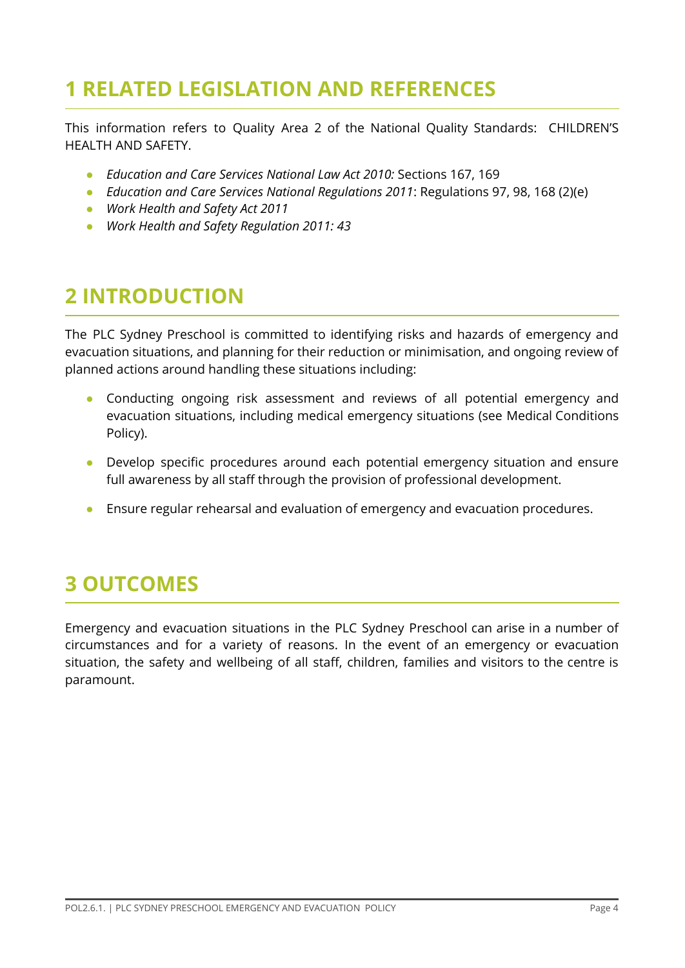## <span id="page-3-0"></span>**1 RELATED LEGISLATION AND REFERENCES**

This information refers to Quality Area 2 of the National Quality Standards: CHILDREN'S HEALTH AND SAFETY.

- **●** *Education and Care Services National Law Act 2010:* Sections 167, 169
- **●** *Education and Care Services National Regulations 2011*: Regulations 97, 98, 168 (2)(e)
- *● Work Health and Safety Act 2011*
- *● Work Health and Safety Regulation 2011: 43*

## <span id="page-3-1"></span>**2 INTRODUCTION**

The PLC Sydney Preschool is committed to identifying risks and hazards of emergency and evacuation situations, and planning for their reduction or minimisation, and ongoing review of planned actions around handling these situations including:

- Conducting ongoing risk assessment and reviews of all potential emergency and evacuation situations, including medical emergency situations (see Medical Conditions Policy).
- Develop specific procedures around each potential emergency situation and ensure full awareness by all staff through the provision of professional development.
- Ensure regular rehearsal and evaluation of emergency and evacuation procedures.

## <span id="page-3-2"></span>**3 OUTCOMES**

Emergency and evacuation situations in the PLC Sydney Preschool can arise in a number of circumstances and for a variety of reasons. In the event of an emergency or evacuation situation, the safety and wellbeing of all staff, children, families and visitors to the centre is paramount.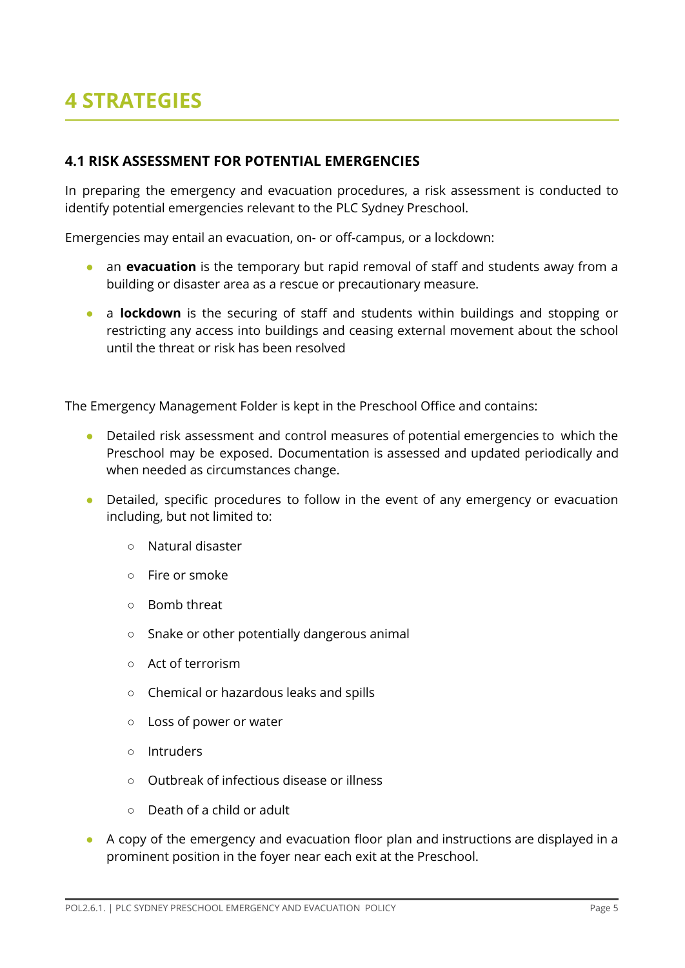## <span id="page-4-0"></span>**4 STRATEGIES**

#### <span id="page-4-1"></span>**4.1 RISK ASSESSMENT FOR POTENTIAL EMERGENCIES**

In preparing the emergency and evacuation procedures, a risk assessment is conducted to identify potential emergencies relevant to the PLC Sydney Preschool.

Emergencies may entail an evacuation, on- or off-campus, or a lockdown:

- **•** an **evacuation** is the temporary but rapid removal of staff and students away from a building or disaster area as a rescue or precautionary measure.
- a **lockdown** is the securing of staff and students within buildings and stopping or restricting any access into buildings and ceasing external movement about the school until the threat or risk has been resolved

The Emergency Management Folder is kept in the Preschool Office and contains:

- Detailed risk assessment and control measures of potential emergencies to which the Preschool may be exposed. Documentation is assessed and updated periodically and when needed as circumstances change.
- Detailed, specific procedures to follow in the event of any emergency or evacuation including, but not limited to:
	- Natural disaster
	- Fire or smoke
	- Bomb threat
	- Snake or other potentially dangerous animal
	- Act of terrorism
	- Chemical or hazardous leaks and spills
	- Loss of power or water
	- Intruders
	- Outbreak of infectious disease or illness
	- Death of a child or adult
- A copy of the emergency and evacuation floor plan and instructions are displayed in a prominent position in the foyer near each exit at the Preschool.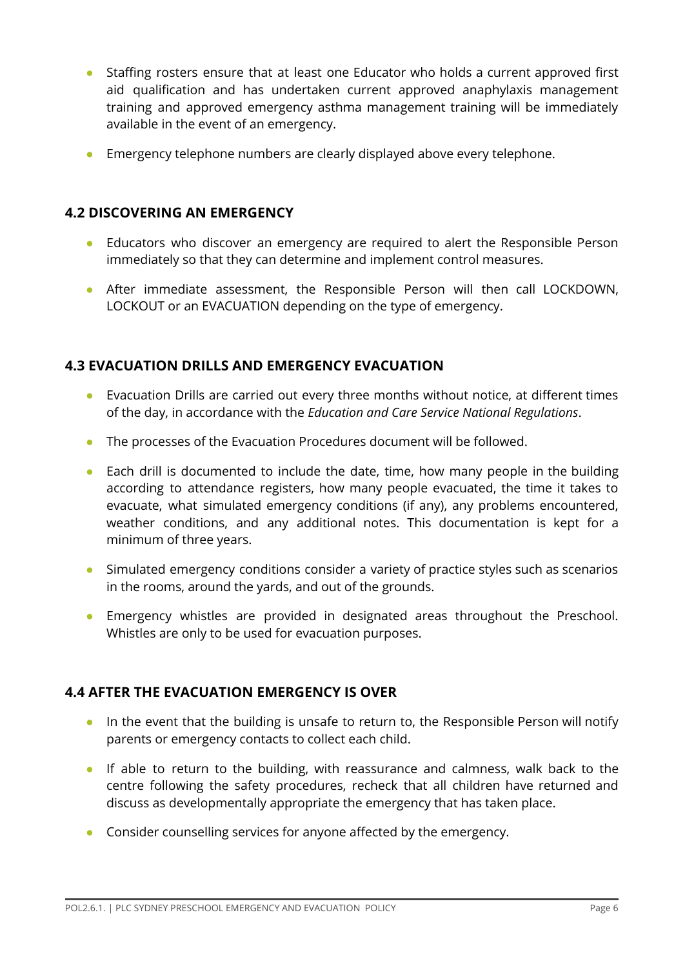- Staffing rosters ensure that at least one Educator who holds a current approved first aid qualification and has undertaken current approved anaphylaxis management training and approved emergency asthma management training will be immediately available in the event of an emergency.
- Emergency telephone numbers are clearly displayed above every telephone.

#### <span id="page-5-0"></span>**4.2 DISCOVERING AN EMERGENCY**

- Educators who discover an emergency are required to alert the Responsible Person immediately so that they can determine and implement control measures.
- After immediate assessment, the Responsible Person will then call LOCKDOWN, LOCKOUT or an EVACUATION depending on the type of emergency.

#### <span id="page-5-1"></span>**4.3 EVACUATION DRILLS AND EMERGENCY EVACUATION**

- Evacuation Drills are carried out every three months without notice, at different times of the day, in accordance with the *Education and Care Service National Regulations*.
- The processes of the Evacuation Procedures document will be followed.
- Each drill is documented to include the date, time, how many people in the building according to attendance registers, how many people evacuated, the time it takes to evacuate, what simulated emergency conditions (if any), any problems encountered, weather conditions, and any additional notes. This documentation is kept for a minimum of three years.
- Simulated emergency conditions consider a variety of practice styles such as scenarios in the rooms, around the yards, and out of the grounds.
- Emergency whistles are provided in designated areas throughout the Preschool. Whistles are only to be used for evacuation purposes.

#### <span id="page-5-2"></span>**4.4 AFTER THE EVACUATION EMERGENCY IS OVER**

- In the event that the building is unsafe to return to, the Responsible Person will notify parents or emergency contacts to collect each child.
- If able to return to the building, with reassurance and calmness, walk back to the centre following the safety procedures, recheck that all children have returned and discuss as developmentally appropriate the emergency that has taken place.
- Consider counselling services for anyone affected by the emergency.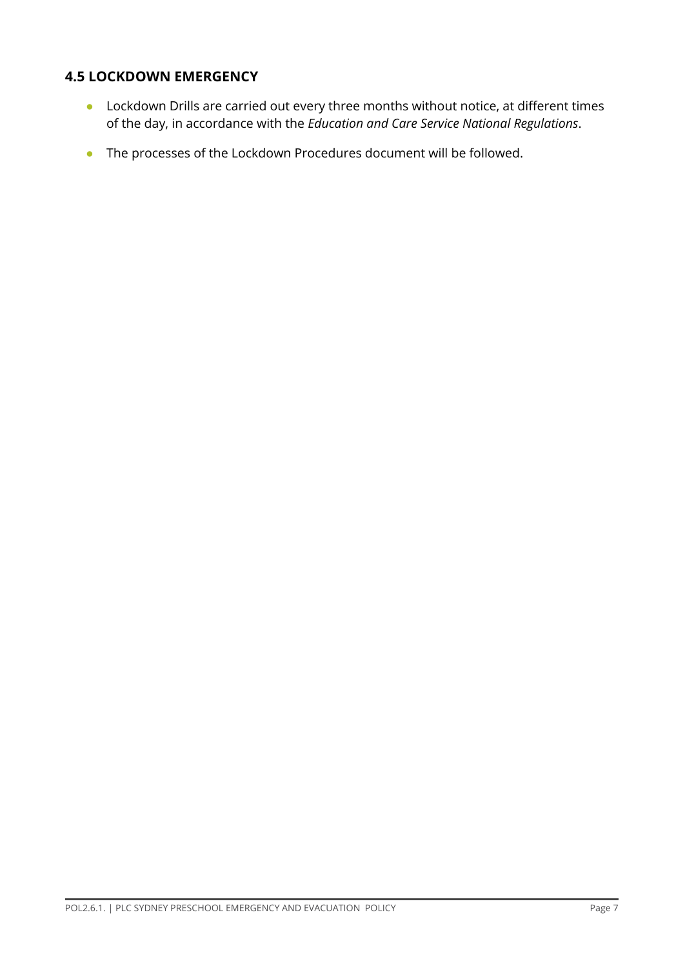#### <span id="page-6-0"></span>**4.5 LOCKDOWN EMERGENCY**

- Lockdown Drills are carried out every three months without notice, at different times of the day, in accordance with the *Education and Care Service National Regulations*.
- The processes of the Lockdown Procedures document will be followed.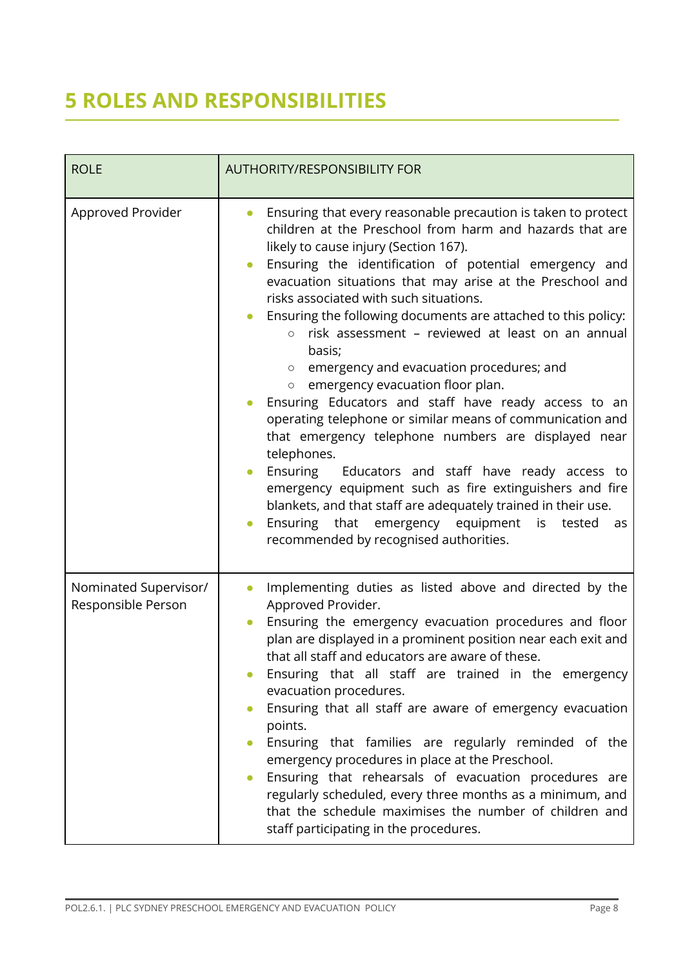## <span id="page-7-0"></span>**5 ROLES AND RESPONSIBILITIES**

| <b>ROLE</b>                                 | <b>AUTHORITY/RESPONSIBILITY FOR</b>                                                                                                                                                                                                                                                                                                                                                                                                                                                                                                                                                                                                                                                                                                                                                                                                                                                                                                                                                                                                                                                                                                             |
|---------------------------------------------|-------------------------------------------------------------------------------------------------------------------------------------------------------------------------------------------------------------------------------------------------------------------------------------------------------------------------------------------------------------------------------------------------------------------------------------------------------------------------------------------------------------------------------------------------------------------------------------------------------------------------------------------------------------------------------------------------------------------------------------------------------------------------------------------------------------------------------------------------------------------------------------------------------------------------------------------------------------------------------------------------------------------------------------------------------------------------------------------------------------------------------------------------|
| Approved Provider                           | Ensuring that every reasonable precaution is taken to protect<br>$\bullet$<br>children at the Preschool from harm and hazards that are<br>likely to cause injury (Section 167).<br>Ensuring the identification of potential emergency and<br>$\bullet$<br>evacuation situations that may arise at the Preschool and<br>risks associated with such situations.<br>Ensuring the following documents are attached to this policy:<br>$\bullet$<br>risk assessment - reviewed at least on an annual<br>$\circ$<br>basis;<br>emergency and evacuation procedures; and<br>$\circ$<br>emergency evacuation floor plan.<br>$\circ$<br>Ensuring Educators and staff have ready access to an<br>$\bullet$<br>operating telephone or similar means of communication and<br>that emergency telephone numbers are displayed near<br>telephones.<br>Ensuring Educators and staff have ready access to<br>$\bullet$<br>emergency equipment such as fire extinguishers and fire<br>blankets, and that staff are adequately trained in their use.<br>Ensuring that emergency equipment is<br>tested<br>as<br>$\bullet$<br>recommended by recognised authorities. |
| Nominated Supervisor/<br>Responsible Person | Implementing duties as listed above and directed by the<br>Approved Provider.<br>Ensuring the emergency evacuation procedures and floor<br>$\bullet$<br>plan are displayed in a prominent position near each exit and<br>that all staff and educators are aware of these.<br>Ensuring that all staff are trained in the emergency<br>evacuation procedures.<br>Ensuring that all staff are aware of emergency evacuation<br>points.<br>Ensuring that families are regularly reminded of the<br>$\bullet$<br>emergency procedures in place at the Preschool.<br>Ensuring that rehearsals of evacuation procedures are<br>regularly scheduled, every three months as a minimum, and<br>that the schedule maximises the number of children and<br>staff participating in the procedures.                                                                                                                                                                                                                                                                                                                                                           |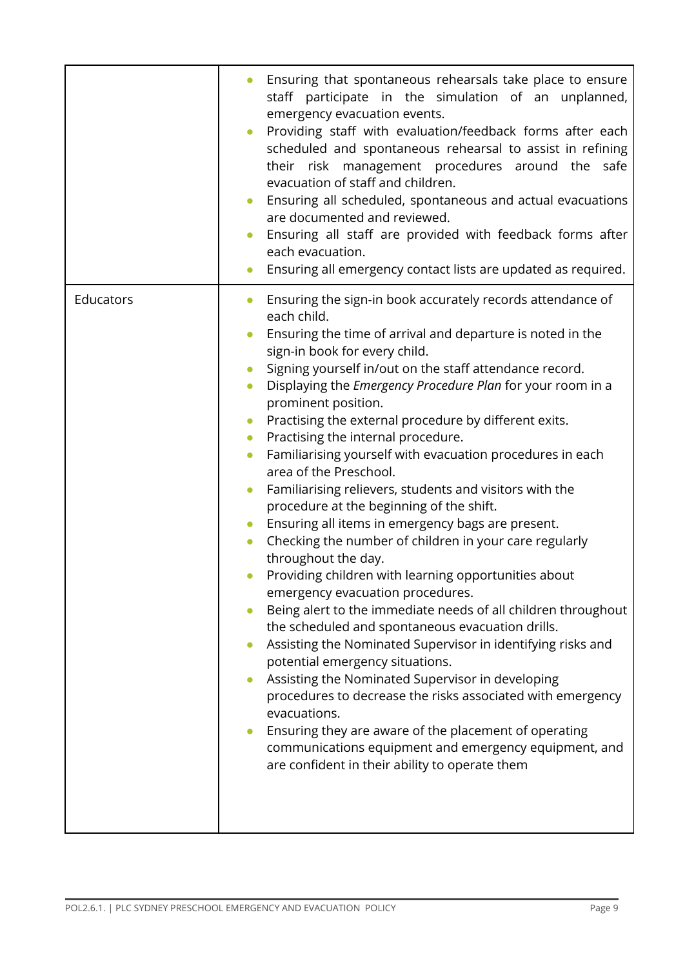|           | Ensuring that spontaneous rehearsals take place to ensure<br>staff participate in the simulation of an unplanned,<br>emergency evacuation events.<br>Providing staff with evaluation/feedback forms after each<br>scheduled and spontaneous rehearsal to assist in refining<br>their risk management procedures around the safe<br>evacuation of staff and children.<br>Ensuring all scheduled, spontaneous and actual evacuations<br>are documented and reviewed.<br>Ensuring all staff are provided with feedback forms after<br>each evacuation.<br>Ensuring all emergency contact lists are updated as required.                                                                                                                                                                                                                                                                                                                                                                                                                                                                                                                                                                                                                                                                                                                                                                                                                                                                         |
|-----------|----------------------------------------------------------------------------------------------------------------------------------------------------------------------------------------------------------------------------------------------------------------------------------------------------------------------------------------------------------------------------------------------------------------------------------------------------------------------------------------------------------------------------------------------------------------------------------------------------------------------------------------------------------------------------------------------------------------------------------------------------------------------------------------------------------------------------------------------------------------------------------------------------------------------------------------------------------------------------------------------------------------------------------------------------------------------------------------------------------------------------------------------------------------------------------------------------------------------------------------------------------------------------------------------------------------------------------------------------------------------------------------------------------------------------------------------------------------------------------------------|
| Educators | Ensuring the sign-in book accurately records attendance of<br>$\bullet$<br>each child.<br>Ensuring the time of arrival and departure is noted in the<br>sign-in book for every child.<br>Signing yourself in/out on the staff attendance record.<br>$\bullet$<br>Displaying the Emergency Procedure Plan for your room in a<br>$\bullet$<br>prominent position.<br>Practising the external procedure by different exits.<br>$\bullet$<br>Practising the internal procedure.<br>$\bullet$<br>Familiarising yourself with evacuation procedures in each<br>$\bullet$<br>area of the Preschool.<br>Familiarising relievers, students and visitors with the<br>$\bullet$<br>procedure at the beginning of the shift.<br>Ensuring all items in emergency bags are present.<br>Checking the number of children in your care regularly<br>throughout the day.<br>Providing children with learning opportunities about<br>emergency evacuation procedures.<br>Being alert to the immediate needs of all children throughout<br>the scheduled and spontaneous evacuation drills.<br>Assisting the Nominated Supervisor in identifying risks and<br>potential emergency situations.<br>Assisting the Nominated Supervisor in developing<br>procedures to decrease the risks associated with emergency<br>evacuations.<br>Ensuring they are aware of the placement of operating<br>$\bullet$<br>communications equipment and emergency equipment, and<br>are confident in their ability to operate them |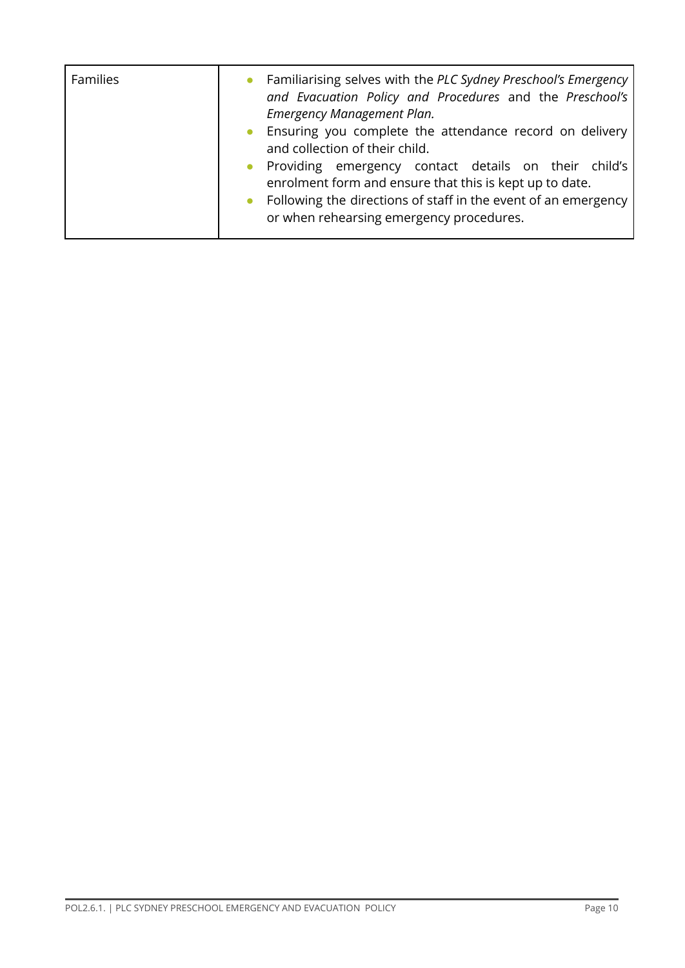| <b>Families</b> | Familiarising selves with the PLC Sydney Preschool's Emergency<br>and Evacuation Policy and Procedures and the Preschool's<br>Emergency Management Plan.<br>Ensuring you complete the attendance record on delivery<br>and collection of their child.<br>Providing emergency contact details on their child's<br>enrolment form and ensure that this is kept up to date.<br>Following the directions of staff in the event of an emergency<br>or when rehearsing emergency procedures. |
|-----------------|----------------------------------------------------------------------------------------------------------------------------------------------------------------------------------------------------------------------------------------------------------------------------------------------------------------------------------------------------------------------------------------------------------------------------------------------------------------------------------------|
|                 |                                                                                                                                                                                                                                                                                                                                                                                                                                                                                        |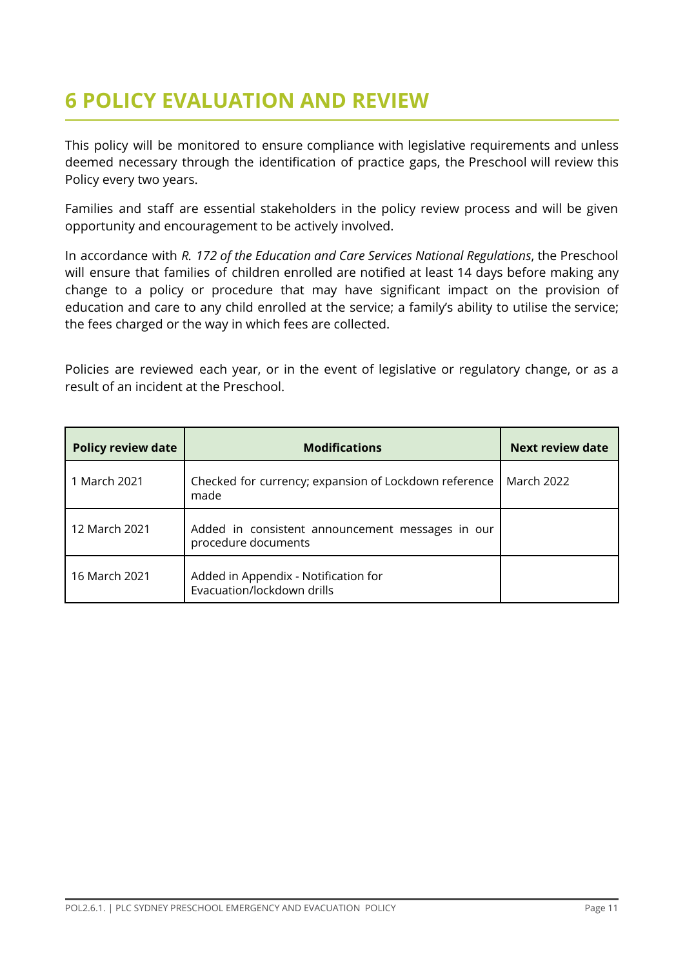## <span id="page-10-0"></span>**6 POLICY EVALUATION AND REVIEW**

This policy will be monitored to ensure compliance with legislative requirements and unless deemed necessary through the identification of practice gaps, the Preschool will review this Policy every two years.

Families and staff are essential stakeholders in the policy review process and will be given opportunity and encouragement to be actively involved.

In accordance with *R. 172 of the Education and Care Services National Regulations*, the Preschool will ensure that families of children enrolled are notified at least 14 days before making any change to a policy or procedure that may have significant impact on the provision of education and care to any child enrolled at the service; a family's ability to utilise the service; the fees charged or the way in which fees are collected.

Policies are reviewed each year, or in the event of legislative or regulatory change, or as a result of an incident at the Preschool.

| <b>Policy review date</b> | <b>Modifications</b>                                                    | <b>Next review date</b> |
|---------------------------|-------------------------------------------------------------------------|-------------------------|
| 1 March 2021              | Checked for currency; expansion of Lockdown reference<br>made           | March 2022              |
| 12 March 2021             | Added in consistent announcement messages in our<br>procedure documents |                         |
| 16 March 2021             | Added in Appendix - Notification for<br>Evacuation/lockdown drills      |                         |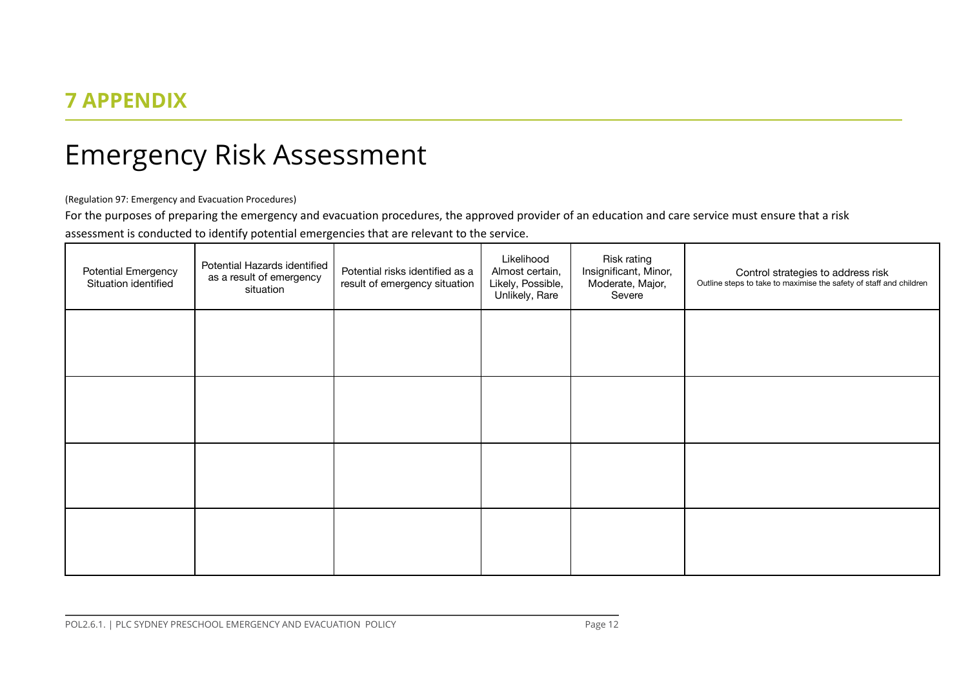### **7 APPENDIX**

## Emergency Risk Assessment

(Regulation 97: Emergency and Evacuation Procedures)

For the purposes of preparing the emergency and evacuation procedures, the approved provider of an education and care service must ensure that a risk

assessment is conducted to identify potential emergencies that are relevant to the service.

<span id="page-11-0"></span>

| <b>Potential Emergency</b><br>Situation identified | Potential Hazards identified<br>as a result of emergency<br>situation | Potential risks identified as a<br>result of emergency situation | Likelihood<br>Almost certain,<br>Likely, Possible,<br>Unlikely, Rare | Risk rating<br>Insignificant, Minor,<br>Moderate, Major,<br>Severe | Control strategies to address risk<br>Outline steps to take to maximise the safety of staff and children |
|----------------------------------------------------|-----------------------------------------------------------------------|------------------------------------------------------------------|----------------------------------------------------------------------|--------------------------------------------------------------------|----------------------------------------------------------------------------------------------------------|
|                                                    |                                                                       |                                                                  |                                                                      |                                                                    |                                                                                                          |
|                                                    |                                                                       |                                                                  |                                                                      |                                                                    |                                                                                                          |
|                                                    |                                                                       |                                                                  |                                                                      |                                                                    |                                                                                                          |
|                                                    |                                                                       |                                                                  |                                                                      |                                                                    |                                                                                                          |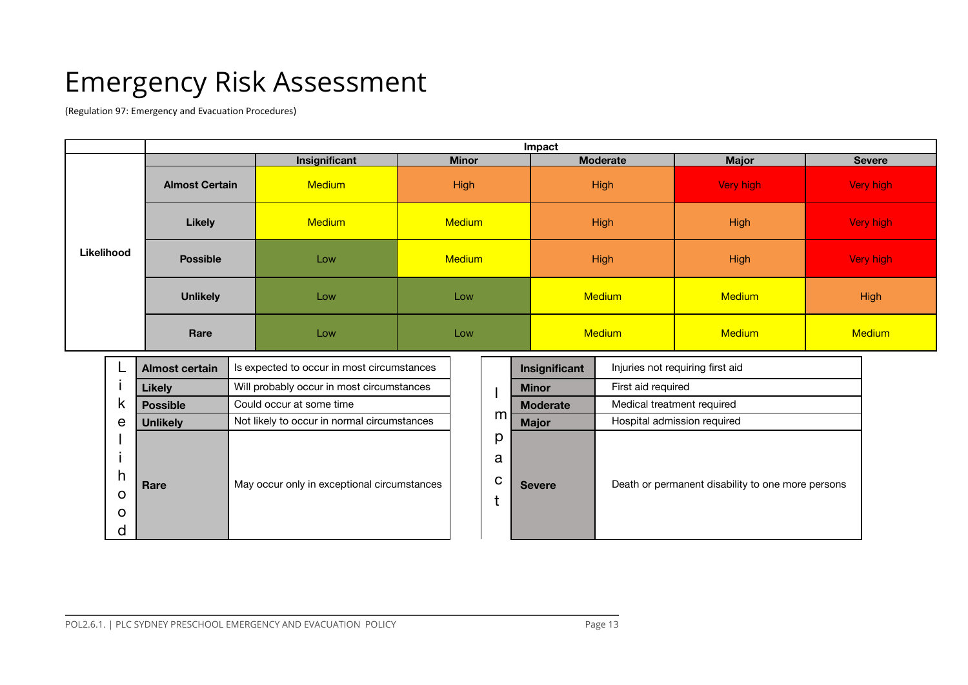# Emergency Risk Assessment

(Regulation 97: Emergency and Evacuation Procedures)

|            | Impact                |                                                  |               |               |               |               |  |  |
|------------|-----------------------|--------------------------------------------------|---------------|---------------|---------------|---------------|--|--|
|            |                       | Insignificant<br><b>Moderate</b><br><b>Minor</b> |               |               | <b>Major</b>  | <b>Severe</b> |  |  |
|            | <b>Almost Certain</b> | <b>Medium</b><br><b>High</b><br><b>High</b>      |               |               | Very high     | Very high     |  |  |
|            | <b>Likely</b>         | <b>Medium</b>                                    | <b>Medium</b> | <b>High</b>   | <b>High</b>   |               |  |  |
| Likelihood | <b>Possible</b>       | Low                                              | <b>Medium</b> | <b>High</b>   | <b>High</b>   | Very high     |  |  |
|            | <b>Unlikely</b>       | Low                                              | Low           | <b>Medium</b> | <b>Medium</b> | <b>High</b>   |  |  |
|            | Rare                  | Low                                              | Low           | <b>Medium</b> | <b>Medium</b> | <b>Medium</b> |  |  |

|          | <b>Almost certain</b> | Is expected to occur in most circumstances  |   | Insignificant   | Injuries not requiring first aid |
|----------|-----------------------|---------------------------------------------|---|-----------------|----------------------------------|
|          | <b>Likely</b>         | Will probably occur in most circumstances   |   | <b>Minor</b>    | First aid required               |
| κ        | <b>Possible</b>       | Could occur at some time                    |   | <b>Moderate</b> | Medical treatment required       |
| e        | <b>Unlikely</b>       | Not likely to occur in normal circumstances | m | <b>Major</b>    | Hospital admission required      |
|          |                       |                                             | р |                 |                                  |
|          |                       |                                             | a |                 |                                  |
| h        | Rare                  | May occur only in exceptional circumstances | C | <b>Severe</b>   | Death or permanent disabilit     |
| $\Omega$ |                       |                                             |   |                 |                                  |
| $\Omega$ |                       |                                             |   |                 |                                  |
| U        |                       |                                             |   |                 |                                  |

| <b>Almost certain</b> | Is expected to occur in most circumstances  |             | Insignificant   | Injuries not requiring first aid                  |
|-----------------------|---------------------------------------------|-------------|-----------------|---------------------------------------------------|
| <b>Likely</b>         | Will probably occur in most circumstances   |             | <b>Minor</b>    | First aid required                                |
| <b>Possible</b>       | Could occur at some time                    |             | <b>Moderate</b> | Medical treatment required                        |
| <b>Unlikely</b>       | Not likely to occur in normal circumstances | m           | <b>Major</b>    | Hospital admission required                       |
| Rare                  | May occur only in exceptional circumstances | p<br>a<br>С | <b>Severe</b>   | Death or permanent disability to one more persons |